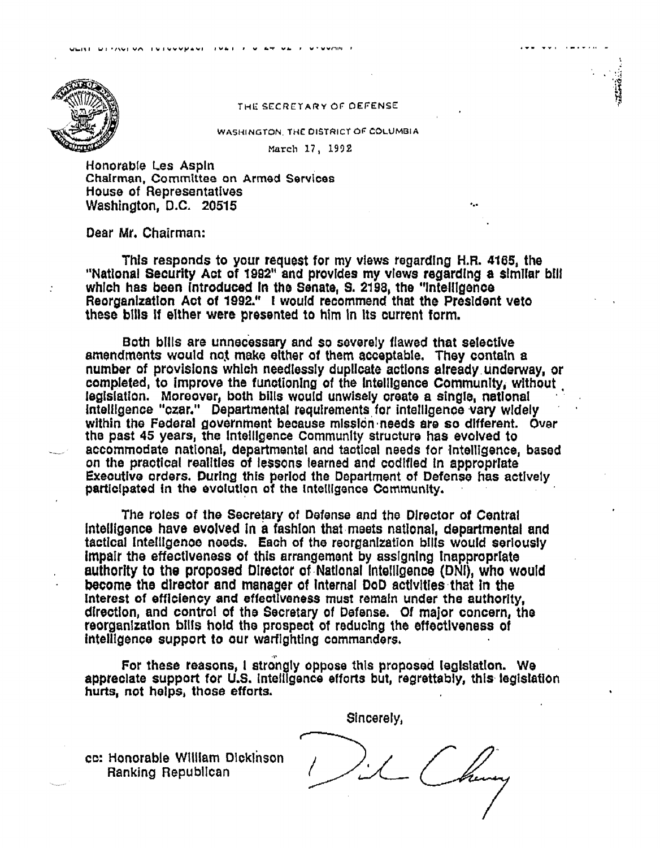

## THE SECRETARY OF DEFENSE

WASHINGTON, THE DISTRICT OF COLUMBIA

March 17, 1992

Honorable Les Aspin Chairman, Committee on Armed Services House of Representatives Washington, D.C. 20515

## Dear Mr. Chairman:

This responds to your request for my views regarding H.R. 4165, the "National Security Act of 1992" and provides my views regarding a similar bill which has been introduced in the Senate, S. 2198, the "intelligence Reorganization Act of 1992." I would recommend that the President veto these bills if either were presented to him in its current form.

Both bills are unnecessary and so severely flawed that selective amendments would not make either of them acceptable. They contain a number of provisions which needlessly duplicate actions already underway, or completed, to improve the functioning of the intelligence Community, without legislation. Moreover, both bills would unwisely create a single, national intelligence "czar." Departmental regulrements for intelligence vary widely within the Federal government because mission needs are so different. Over the past 45 years, the intelligence Community structure has evolved to accommodate national, departmental and tactical needs for intelligence, based on the practical realities of lessons learned and codified in appropriate Executive orders. During this period the Department of Defense has actively participated in the evolution of the intelligence Community.

The roles of the Secretary of Defense and the Director of Central intelligence have evolved in a fashion that meets national, departmental and tactical intelligence needs. Each of the reorganization bills would seriously impair the effectiveness of this arrangement by assigning inappropriate authority to the proposed Director of National Intelligence (DNI), who would become the director and manager of internal DoD activities that in the Interest of efficiency and effectiveness must remain under the authority. direction, and control of the Secretary of Defense. Of major concern, the reorganization bills hold the prospect of reducing the effectiveness of intelligence support to our warfighting commanders.

For these reasons, I strongly oppose this proposed legislation. We appreciate support for U.S. intelligence efforts but, regrettably, this legislation hurts, not helps, those efforts.

Sincerely,

cc: Honorable William Dickinson Ranking Republican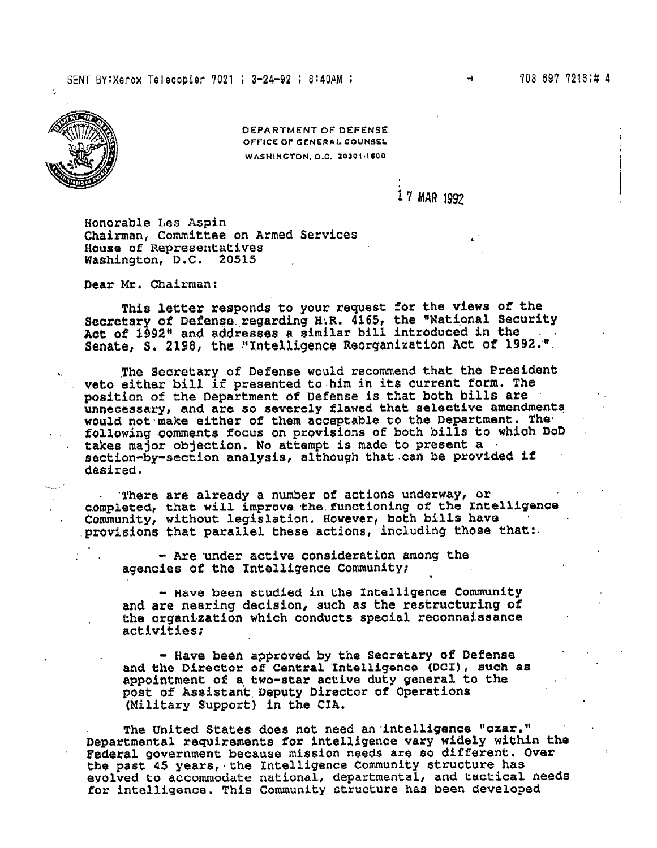

**DEPARTMENT OF DEFENSE** OFFICE OF GENERAL COUNSEL WASHINGTON, D.C. 20301-1600

## 17 MAR 1992

Honorable Les Aspin Chairman, Committee on Armed Services House of Representatives Washington, D.C. 20515

Dear Mr. Chairman:

This letter responds to your request for the views of the Secretary of Defense regarding H.R. 4165, the "National Security Act of 1992" and addresses a similar bill introduced in the Senate, S. 2198, the "Intelligence Reorganization Act of 1992.".

The Secretary of Defense would recommend that the President veto either bill if presented to him in its current form. The position of the Department of Defense is that both bills are unnecessary, and are so severely flawed that selective amendments would not make either of them acceptable to the Department. The following comments focus on provisions of both bills to which DoD takes major objection. No attempt is made to present a section-by-section analysis, although that can be provided if desired.

There are already a number of actions underway, or completed, that will improve the functioning of the Intelligence Community, without legislation. However, both bills have provisions that parallel these actions, including those that:

- Are under active consideration among the agencies of the Intelligence Community;

- Have been studied in the Intelligence Community and are nearing decision, such as the restructuring of the organization which conducts special reconnaissance activities;

- Have been approved by the Secretary of Defense<br>and the Director of Central Intelligence (DCI), such as appointment of a two-star active duty general to the post of Assistant Deputy Director of Operations (Military Support) in the CIA.

The United States does not need an intelligence "czar." Departmental requirements for intelligence vary widely within the Federal government because mission needs are so different. Over the past 45 years, the Intelligence Community structure has evolved to accommodate national, departmental, and tactical needs for intelligence. This Community structure has been developed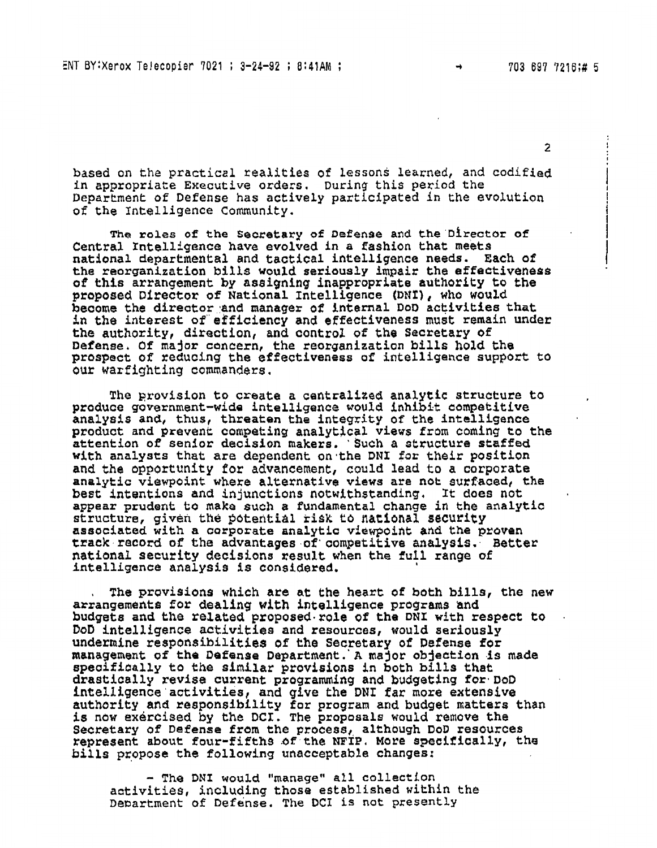$\overline{2}$ 

based on the practical realities of lessons learned, and codified in appropriate Executive orders. During this period the Department of Defense has actively participated in the evolution of the Intelligence Community.

The roles of the Secretary of Defense and the Director of Central Intelligence have evolved in a fashion that meets national departmental and tactical intelligence needs. Each of the reorganization bills would seriously impair the effectiveness of this arrangement by assigning inappropriate authority to the proposed Director of National Intelligence (DNI), who would become the director and manager of internal DoD activities that in the interest of efficiency and effectiveness must remain under the authority, direction, and control of the Secretary of<br>Defense. Of major concern, the reorganization bills hold the<br>prospect of reducing the effectiveness of intelligence support to our warfighting commanders.

The provision to create a centralized analytic structure to produce government-wide intelligence would inhibit competitive analysis and, thus, threaten the integrity of the intelligence product and prevent competing analytical views from coming to the attention of senior decision makers. Such a structure staffed with analysts that are dependent on the DNI for their position and the opportunity for advancement, could lead to a corporate analytic viewpoint where alternative views are not surfaced, the best intentions and injunctions notwithstanding. It does not appear prudent to make such a fundamental change in the analytic structure, given the potential risk to national security associated with a corporate analytic viewpoint and the proven track record of the advantages of competitive analysis. Better national security decisions result when the full range of intelligence analysis is considered.

The provisions which are at the heart of both bills, the new arrangements for dealing with intelligence programs and budgets and the related proposed role of the DNI with respect to DoD intelligence activities and resources, would seriously undermine responsibilities of the Secretary of Defense for management of the Defense Department. A major objection is made specifically to the similar provisions in both bills that drastically revise current programming and budgeting for DoD intelligence activities, and give the DNI far more extensive authority and responsibility for program and budget matters than is now exercised by the DCI. The proposals would remove the Secretary of Defense from the process, although DoD resources represent about four-fifths of the NFTP. More specifically, the bills propose the following unacceptable changes:

- The DNI would "manage" all collection activities, including those established within the Department of Defense. The DCI is not presently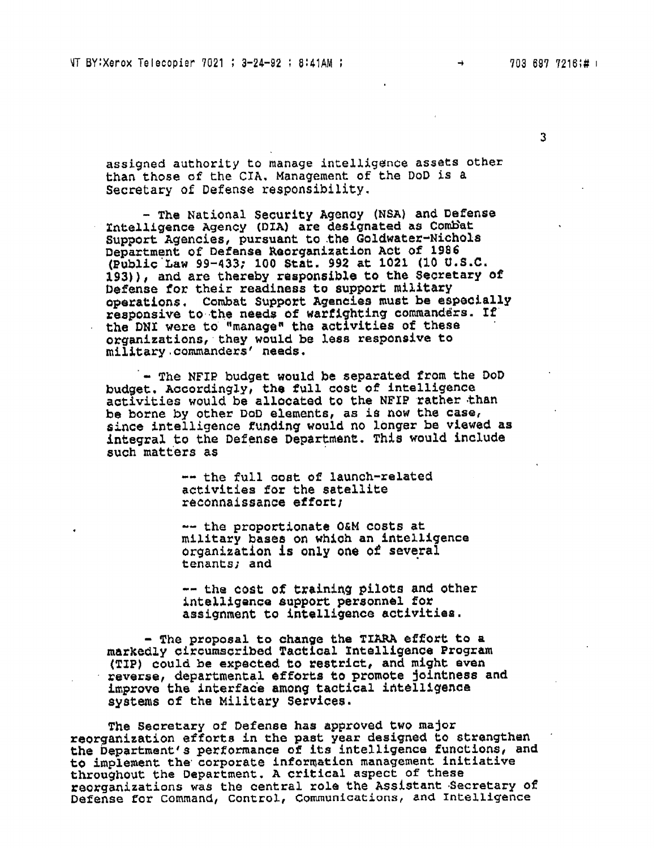$\frac{1}{2}$ 

 $\overline{3}$ 

**assigned** authority **to manage intelligence assets other khan those of the CXA. Management of the DUD is** a Secretary **of Defense responsibility.** 

- **The National Security Agenay (NSA) and Defense Xntelligence Agency (DIA) are designated as Combat Support ~gencies, pursuant: to .the Goldwatex-Nichols Departmgnt of Defense Raotganizatian Act of 1986 (Public Law 99-433; 100 Stat. 992 at 1021 (10 U.S.C. 193)), and are thereby reapansib3.e to the Secretary of Defense for their readiness to support military operations.** Combat Support Agancies must be especially responsive to the needs of warfighting commanders. If **the DNX were to "managem the activities of these orgenizations, they would be less responsive to military.cammandersf needs.** 

- The NFIP budget would be separated from the DoD **budget, Aucordingly, the full cost of intelligence activikies would be allocated to the NFIP rather than be borne by** other DoD **elements, as is now the case, since intelligence funding would no** longer **be viewed as Antegral to the Defense Department. This would include such matters as** 

> -- **the full coat of launch-related activities far the satellite reconnaissance effort;**

-- **the proportionate Q&M costs at military bases on which an fntell.igence organieation is onLy** one **of several tenants; and** 

 $--$  the cost of training pilots and other **intelligence support: personnel for assignment to intelligence** activities.

- **The proposal to change the TIW efEoxL to a markedly circumscribed Taaliaal rntelligence Program (TIP) could be expsicttsd Co restrict, and might even**   $r$ everse, departmental efforts to promote jointness and **improve the interface among tactical intelligence systems of the Military Services.** 

**The Secretary of Defense has approved two major reorganization efforts in the past year designed to strengthan** . the Department's performance of its intelligence functions, and to implement the corporate information management initiative **throughout the Department. A critical aspect of these rsarganjtzations was the** central **role the Assistant 43ecretary** of **Defense for Command,** Control, **Communications, and Intelligence**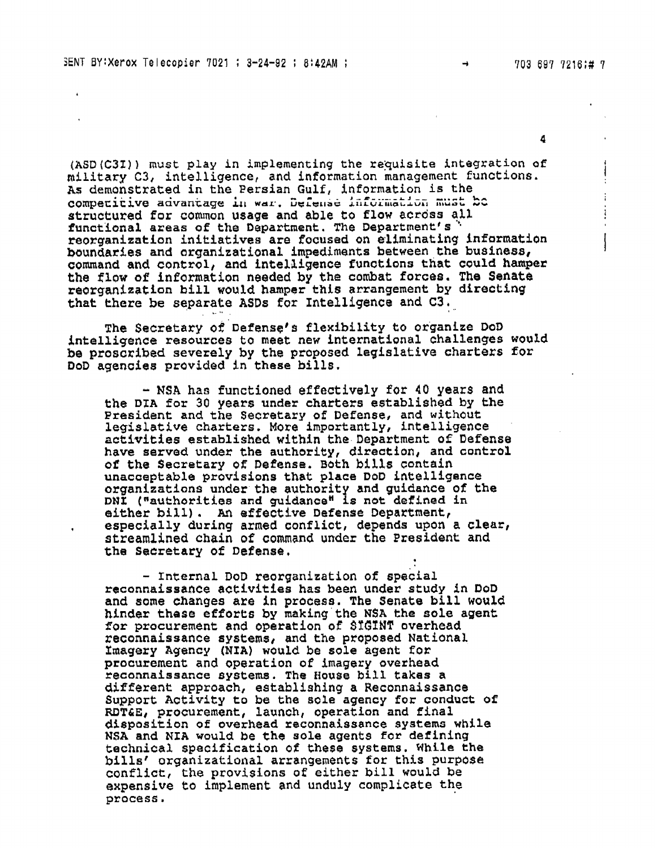$\frac{1}{2}$ 

4

**(ASD(C32)) must play in implementing the reQuisite integration of military C3, intelligence, and** information **management functions.**  competitive advantage in war. Defense information must bo **struckured** for camon **usage and able to flow acrdss** alZ **functional areas of the Department. The Departmentt s** ' **reorganization initiatives are focused on eliminating infarmatian boundaries and arganizational impediments between the busfnesa, command and control, and intelligence Eunctions that could hamperr the flaw of information needed by the cambat forces. The Senate reorganization bill would hamper tnfs** arrangement: **by directing that** khere **be separate ASDs** for **Intelligence and C3,** 

**The Secretary** of **Defense's flexibility to organize DoD intelligence resources** to **meet new international challenges would be proscribed severely by the proposed legislative charters for DoD agencies provided in these bills.** 

- **NSA has functioned effectively** for **40 years and the DTA for 30 years under charters established by the President and the Secretary of Defense, and without legislative** charters. **More importantly,** intelligence **activities established** within **the** Department **of Defense have served under the autherity, direction, and** control **of the** *Secretary* **of Defense. ~6th bills** contain **unacceptable provisions that place DaD intelligence organizations under the authority and guidance of the DNI** ("authorities and guidance" Is not defined in either bill). An effective Defense Department, **either bill). An effective Defense Department,** , **especially during armed conflict, depends upon a clearl streamlined chain of command under the President and the Secretary of Defense,** 

- Internal **DoD reorganization of special reconnaissance activities has been under study** In **DoD and some changes are in process. The Senate bill would hinder these efforts by making the N\$A the sole agent**  for procurement and operation of SIGINT overhead **reconnaissance systems, and the proposed National. Xmagery Agency (NIA) would be sole agent** *for*  procurement **and operation of imagery overhead reconnaissance systems. The Houga bill takes a different approach, establishing a Reconnaissance Support Activity to be the sole agency for conduct of RDTdiE,** procurement, **launch,** operation **and Final d5sposition of overhead reconnaissance systems while NSA and NIA would be the sole agents for defining** technical specification of these systems. While the **billst oxganizational arrangements for this purpbse conflict, the provisions of** either **bill would be expensive to implement and unduly complicate the process.**